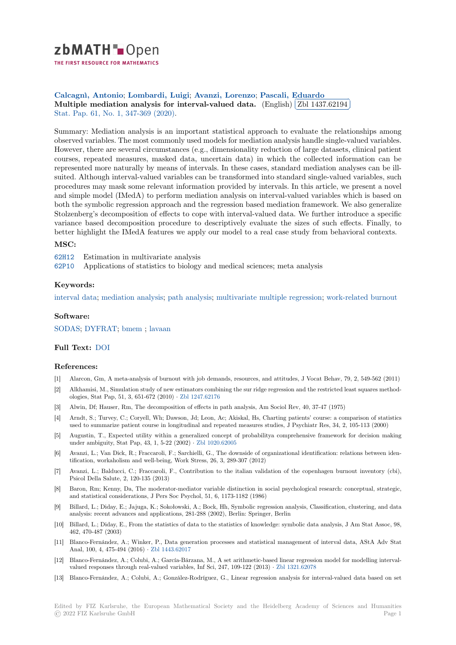

THE FIRST RESOURCE FOR MATHEMATICS

**Calcagnì, Antonio**; **Lombardi, Luigi**; **Avanzi, Lorenzo**; **Pascali, Eduardo** ✄ [M](https://zbmath.org/)ultiple mediation analysis for interval-valued data. (English) [Zbl 1437.62194]<br>Stat. Ran. 61, No. 1, 247, 260 (2020) ĺ. Ļ, Stat. Pap. 61, No. 1, 347-369 (2020).

[Summary: Mediation](https://zbmath.org/authors/?q=ai:calcagni.antonio) [analysis is an impo](https://zbmath.org/authors/?q=ai:lombardi.luigi)[rtant statistical ap](https://zbmath.org/authors/?q=ai:avanzi.lorenzo)p[roach to evaluate th](https://zbmath.org/authors/?q=ai:pascali.eduardo)e relationships among [observed variables. The most commonly used models for media](https://zbmath.org/1437.62194)tion analy[sis handle single-va](https://zbmath.org/1437.62194)lued variables. [However,](https://zbmath.org/journals/?q=se:1953)[t](https://zbmath.org/journals/?q=se:1953)[here are several circumsta](https://zbmath.org/?q=in:448755)nces (e.g., dimensionality reduction of large datasets, clinical patient courses, repeated measures, masked data, uncertain data) in which the collected information can be represented more naturally by means of intervals. In these cases, standard mediation analyses can be illsuited. Although interval-valued variables can be transformed into standard single-valued variables, such procedures may mask some relevant information provided by intervals. In this article, we present a novel and simple model (IMedA) to perform mediation analysis on interval-valued variables which is based on both the symbolic regression approach and the regression based mediation framework. We also generalize Stolzenberg's decomposition of effects to cope with interval-valued data. We further introduce a specific variance based decomposition procedure to descriptively evaluate the sizes of such effects. Finally, to better highlight the IMedA features we apply our model to a real case study from behavioral contexts.

# **MSC:**

62H12 Estimation in multivariate analysis

62P10 Applications of statistics to biology and medical sciences; meta analysis

#### **Keywords:**

[interva](https://zbmath.org/classification/?q=cc:62H12)l data; mediation analysis; path analysis; multivariate multiple regression; work-related burnout

# **Software:**

[SODAS;](https://zbmath.org/?q=ut:interval+data) DYFRAT; [bmem](https://zbmath.org/?q=ut:mediation+analysis) ; lavaa[n](https://zbmath.org/?q=ut:path+analysis)

# **Full Text:** DOI

# **[Referen](https://swmath.org/software/885)[ces:](https://swmath.org/software/32789)**

- [1] Alarcon, Gm, A meta-analysis of burnout with job demands, resources, and attitudes, J Vocat Behav, 79, 2, 549-562 (2011)
- [2] Alkhamis[i, M.,](https://dx.doi.org/10.1007/s00362-017-0940-6) Simulation study of new estimators combining the sur ridge regression and the restricted least squares methodologies, Stat Pap, 51, 3, 651-672 (2010) *·* Zbl 1247.62176
- [3] Alwin, Df; Hauser, Rm, The decomposition of effects in path analysis, Am Sociol Rev, 40, 37-47 (1975)
- [4] Arndt, S.; Turvey, C.; Coryell, Wh; Dawson, Jd; Leon, Ac; Akiskal, Hs, Charting patients' course: a comparison of statistics used to summarize patient course in longitudinal and repeated measures studies, J Psychiatr Res, 34, 2, 105-113 (2000)
- [5] Augustin, T., Expected utility within a [generalized con](https://zbmath.org/1247.62176)cept of probabilitya comprehensive framework for decision making under ambiguity, Stat Pap, 43, 1, 5-22 (2002) *·* Zbl 1020.62005
- [6] Avanzi, L.; Van Dick, R.; Fraccaroli, F.; Sarchielli, G., The downside of organizational identification: relations between identification, workaholism and well-being, Work Stress, 26, 3, 289-307 (2012)
- [7] Avanzi, L.; Balducci, C.; Fraccaroli, F., Contribution to the italian validation of the copenhagen burnout inventory (cbi), Psicol Della Salute, 2, 120-135 (2013)
- [8] Baron, Rm; Kenny, Da, The moderator-mediator variable distinction in social psychological research: conceptual, strategic, and statistical considerations, J Pers Soc Psychol, 51, 6, 1173-1182 (1986)
- [9] Billard, L.; Diday, E.; Jajuga, K.; Sokołowski, A.; Bock, Hh, Symbolic regression analysis, Classification, clustering, and data analysis: recent advances and applications, 281-288 (2002), Berlin: Springer, Berlin
- [10] Billard, L.; Diday, E., From the statistics of data to the statistics of knowledge: symbolic data analysis, J Am Stat Assoc, 98, 462, 470-487 (2003)
- [11] Blanco-Fernández, A.; Winker, P., Data generation processes and statistical management of interval data, AStA Adv Stat Anal, 100, 4, 475-494 (2016) *·* Zbl 1443.62017
- [12] Blanco-Fernández, A.; Colubi, A.; García-Bárzana, M., A set arithmetic-based linear regression model for modelling intervalvalued responses through real-valued variables, Inf Sci, 247, 109-122 (2013) *·* Zbl 1321.62078
- [13] Blanco-Fernández, A.; Colubi, A.; González-Rodríguez, G., Linear regression analysis for interval-valued data based on set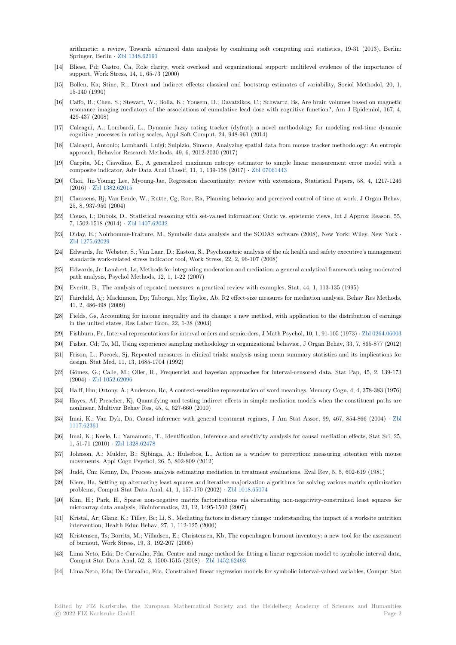arithmetic: a review, Towards advanced data analysis by combining soft computing and statistics, 19-31 (2013), Berlin: Springer, Berlin *·* Zbl 1348.62191

- [14] Bliese, Pd; Castro, Ca, Role clarity, work overload and organizational support: multilevel evidence of the importance of support, Work Stress, 14, 1, 65-73 (2000)
- [15] Bollen, Ka; Stine, R., Direct and indirect effects: classical and bootstrap estimates of variability, Sociol Methodol, 20, 1, 15-140 (1990)
- [16] Caffo, B.; Chen, S.; Stewart, W.; Bolla, K.; Yousem, D.; Davatzikos, C.; Schwartz, Bs, Are brain volumes based on magnetic resonance imaging mediators of the associations of cumulative lead dose with cognitive function?, Am J Epidemiol, 167, 4, 429-437 (2008)
- [17] Calcagnì, A.; Lombardi, L., Dynamic fuzzy rating tracker (dyfrat): a novel methodology for modeling real-time dynamic cognitive processes in rating scales, Appl Soft Comput, 24, 948-961 (2014)
- [18] Calcagnì, Antonio; Lombardi, Luigi; Sulpizio, Simone, Analyzing spatial data from mouse tracker methodology: An entropic approach, Behavior Research Methods, 49, 6, 2012-2030 (2017)
- [19] Carpita, M.; Ciavolino, E., A generalized maximum entropy estimator to simple linear measurement error model with a composite indicator, Adv Data Anal Classif, 11, 1, 139-158 (2017) *·* Zbl 07061443
- [20] Choi, Jin-Young; Lee, Myoung-Jae, Regression discontinuity: review with extensions, Statistical Papers, 58, 4, 1217-1246 (2016) *·* Zbl 1382.62015
- [21] Claessens, Bj; Van Eerde, W.; Rutte, Cg; Roe, Ra, Planning behavior and perceived control of time at work, J Organ Behav, 25, 8, 937-950 (2004)
- [22] Couso, I.; Dubois, D., Statistical reasoning with set-valued information: Ontic vs. epistemic views, Int J Approx Reason, 55, 7, 1502-[1518 \(2014\)](https://zbmath.org/1382.62015) *·* Zbl 1407.62032
- [23] Diday, E.; Noirhomme-Fraiture, M., Symbolic data analysis and the SODAS software (2008), New York: Wiley, New York *·* Zbl 1275.62029
- [24] Edwards, Ja; Webster, S.; Van Laar, D.; Easton, S., Psychometric analysis of the uk health and safety executive's management standards work-relate[d stress indicato](https://zbmath.org/1407.62032)r tool, Work Stress, 22, 2, 96-107 (2008)
- [25] Edwards, Jr; Lambert, Ls, Methods for integrating moderation and mediation: a general analytical framework using moderated [path analysis, P](https://zbmath.org/1275.62029)sychol Methods, 12, 1, 1-22 (2007)
- [26] Everitt, B., The analysis of repeated measures: a practical review with examples, Stat, 44, 1, 113-135 (1995)
- [27] Fairchild, Aj; Mackinnon, Dp; Taborga, Mp; Taylor, Ab, R2 effect-size measures for mediation analysis, Behav Res Methods, 41, 2, 486-498 (2009)
- [28] Fields, Gs, Accounting for income inequality and its change: a new method, with application to the distribution of earnings in the united states, Res Labor Econ, 22, 1-38 (2003)
- [29] Fishburn, Pc, Interval representations for interval orders and semiorders, J Math Psychol, 10, 1, 91-105 (1973) *·* Zbl 0264.06003
- [30] Fisher, Cd; To, Ml, Using experience sampling methodology in organizational behavior, J Organ Behav, 33, 7, 865-877 (2012)
- [31] Frison, L.; Pocock, Sj, Repeated measures in clinical trials: analysis using mean summary statistics and its implications for design, Stat Med, 11, 13, 1685-1704 (1992)
- [32] Gómez, G.; Calle, Ml; Oller, R., Frequentist and bayesian approaches for interval-censored data, Stat Pap, [45, 2, 139-173](https://zbmath.org/0264.06003) (2004) *·* Zbl 1052.62096
- [33] Halff, Hm; Ortony, A.; Anderson, Rc, A context-sensitive representation of word meanings, Memory Cogn, 4, 4, 378-383 (1976)
- [34] Hayes, Af; Preacher, Kj, Quantifying and testing indirect effects in simple mediation models when the constituent paths are nonlinear, Multivar Behav Res, 45, 4, 627-660 (2010)
- [35] Imai, K.[; Van Dyk, Da,](https://zbmath.org/1052.62096) Causal inference with general treatment regimes, J Am Stat Assoc, 99, 467, 854-866 (2004) *·* Zbl 1117.62361
- [36] Imai, K.; Keele, L.; Yamamoto, T., Identification, inference and sensitivity analysis for causal mediation effects, Stat Sci, 25, 1, 51-71 (2010) *·* Zbl 1328.62478
- [37] Johnson, A.; Mulder, B.; Sijbinga, A.; Hulsebos, L., Action as a window to perception: measuring attention with m[ouse](https://zbmath.org/1117.62361) [movements](https://zbmath.org/1117.62361), Appl Cogn Psychol, 26, 5, 802-809 (2012)
- [38] Judd, Cm; Kenny, Da, Process analysis estimating mediation in treatment evaluations, Eval Rev, 5, 5, 602-619 (1981)
- [39] Kiers, Ha, Settin[g up alternating](https://zbmath.org/1328.62478) least squares and iterative majorization algorithms for solving various matrix optimization problems, Comput Stat Data Anal, 41, 1, 157-170 (2002) *·* Zbl 1018.65074
- [40] Kim, H.; Park, H., Sparse non-negative matrix factorizations via alternating non-negativity-constrained least squares for microarray data analysis, Bioinformatics, 23, 12, 1495-1502 (2007)
- [41] Kristal, Ar; Glanz, K.; Tilley, Bc; Li, S., Mediating factors in dietary change: understanding the impact of a worksite nutrition intervention, Health Educ Behav, 27, 1, 112-125 (2000)
- [42] Kristensen, Ts; Borritz, M.; Villadsen, E.; Christensen, Kb, The copenhagen burnout inventory: a new tool for the assessment of burnout, Work Stress, 19, 3, 192-207 (2005)
- [43] Lima Neto, Eda; De Carvalho, Fda, Centre and range method for fitting a linear regression model to symbolic interval data, Comput Stat Data Anal, 52, 3, 1500-1515 (2008) *·* Zbl 1452.62493
- [44] Lima Neto, Eda; De Carvalho, Fda, Constrained linear regression models for symbolic interval-valued variables, Comput Stat